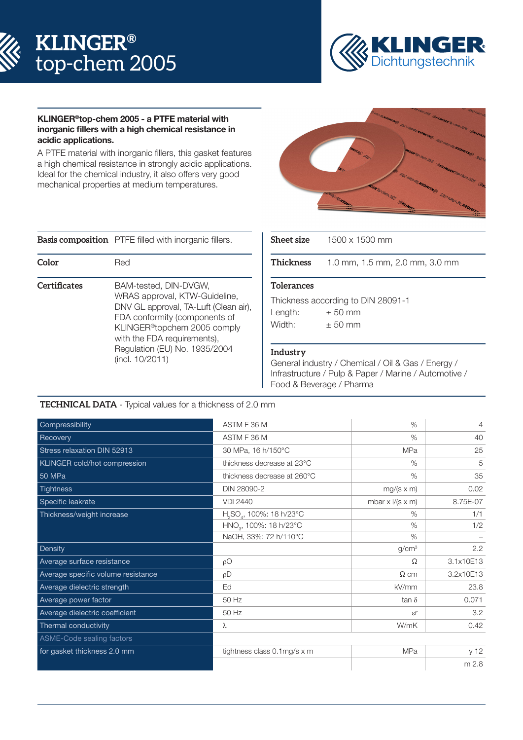



### KLINGER®top-chem 2005 - a PTFE material with inorganic fillers with a high chemical resistance in acidic applications.

A PTFE material with inorganic fillers, this gasket features a high chemical resistance in strongly acidic applications. Ideal for the chemical industry, it also offers very good mechanical properties at medium temperatures.



**Basis composition** PTFE filled with inorganic fillers.

| Color        | Red                                                                                                                                                                                                                                                             | <b>Thicknes</b>                                                    |
|--------------|-----------------------------------------------------------------------------------------------------------------------------------------------------------------------------------------------------------------------------------------------------------------|--------------------------------------------------------------------|
| Certificates | BAM-tested, DIN-DVGW,<br>WRAS approval, KTW-Guideline,<br>DNV GL approval, TA-Luft (Clean air),<br>FDA conformity (components of<br>KLINGER <sup>®</sup> topchem 2005 comply<br>with the FDA requirements),<br>Regulation (EU) No. 1935/2004<br>(incl. 10/2011) | Toleranc<br>Thicknes<br>Length:<br>Width:<br>Industry<br>General i |

| $1500 \times 1500$ mm              |  |  |  |  |
|------------------------------------|--|--|--|--|
| 1.0 mm, 1.5 mm, 2.0 mm, 3.0 mm     |  |  |  |  |
| <b>Tolerances</b>                  |  |  |  |  |
| Thickness according to DIN 28091-1 |  |  |  |  |
| $\pm 50$ mm                        |  |  |  |  |
| $+50$ mm                           |  |  |  |  |
|                                    |  |  |  |  |

General industry / Chemical / Oil & Gas / Energy / Infrastructure / Pulp & Paper / Marine / Automotive / Food & Beverage / Pharma

# **TECHNICAL DATA** - Typical values for a thickness of 2.0 mm

| Compressibility                    | ASTM F 36 M                                      | $\frac{0}{0}$             | $\overline{4}$ |
|------------------------------------|--------------------------------------------------|---------------------------|----------------|
| Recovery                           | ASTM F 36 M                                      | $\%$                      | 40             |
| Stress relaxation DIN 52913        | 30 MPa, 16 h/150°C                               | <b>MPa</b>                | 25             |
| KLINGER cold/hot compression       | thickness decrease at 23°C                       | $\%$                      | 5              |
| <b>50 MPa</b>                      | thickness decrease at 260°C                      | $\%$                      | 35             |
| <b>Tightness</b>                   | DIN 28090-2                                      | $mg/(s \times m)$         | 0.02           |
| Specific leakrate                  | <b>VDI 2440</b>                                  | mbar $x$ $1/(s \times m)$ | 8.75E-07       |
| Thickness/weight increase          | H <sub>2</sub> SO <sub>4</sub> , 100%: 18 h/23°C | $\%$                      | 1/1            |
|                                    | HNO <sub>3</sub> , 100%: 18 h/23°C               | $\%$                      | 1/2            |
|                                    | NaOH, 33%: 72 h/110°C                            | $\%$                      |                |
| Density                            |                                                  | g/cm <sup>3</sup>         | 2.2            |
| Average surface resistance         | pO                                               | Ω                         | 3.1x10E13      |
| Average specific volume resistance | $\rho D$                                         | $\Omega$ cm               | 3.2x10E13      |
| Average dielectric strength        | Ed                                               | kV/mm                     | 23.8           |
| Average power factor               | 50 Hz                                            | $tan \delta$              | 0.071          |
| Average dielectric coefficient     | 50 Hz                                            | $\epsilon$ r              | 3.2            |
| Thermal conductivity               | λ                                                | W/mK                      | 0.42           |
| ASME-Code sealing factors          |                                                  |                           |                |
| for gasket thickness 2.0 mm        | tightness class 0.1mg/s x m                      | MPa                       | y 12           |
|                                    |                                                  |                           | m 2.8          |